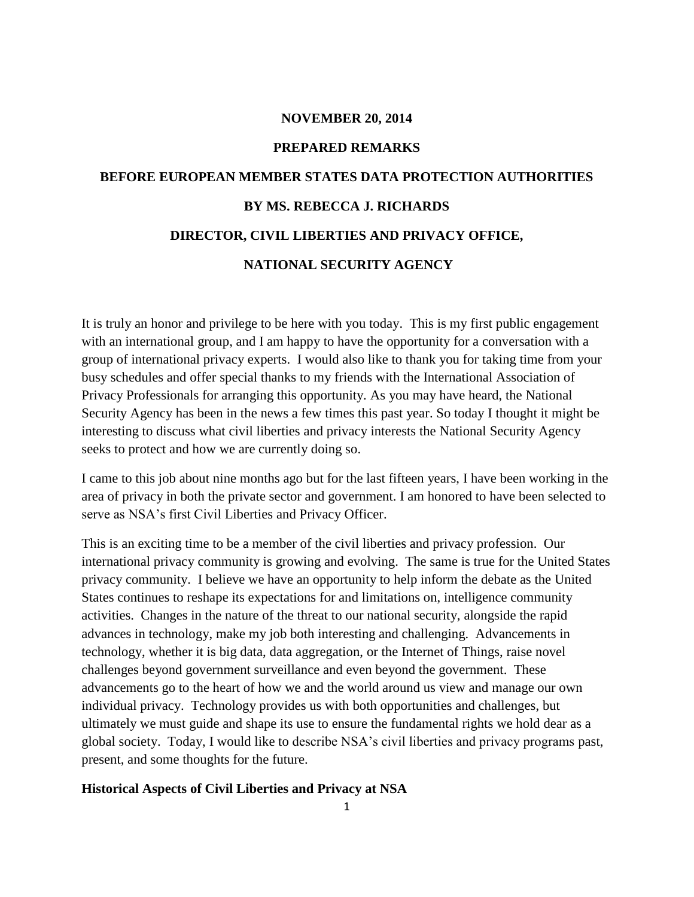### **NOVEMBER 20, 2014**

#### **PREPARED REMARKS**

# **BEFORE EUROPEAN MEMBER STATES DATA PROTECTION AUTHORITIES BY MS. REBECCA J. RICHARDS DIRECTOR, CIVIL LIBERTIES AND PRIVACY OFFICE,**

# **NATIONAL SECURITY AGENCY**

It is truly an honor and privilege to be here with you today. This is my first public engagement with an international group, and I am happy to have the opportunity for a conversation with a group of international privacy experts. I would also like to thank you for taking time from your busy schedules and offer special thanks to my friends with the International Association of Privacy Professionals for arranging this opportunity. As you may have heard, the National Security Agency has been in the news a few times this past year. So today I thought it might be interesting to discuss what civil liberties and privacy interests the National Security Agency seeks to protect and how we are currently doing so.

I came to this job about nine months ago but for the last fifteen years, I have been working in the area of privacy in both the private sector and government. I am honored to have been selected to serve as NSA's first Civil Liberties and Privacy Officer.

This is an exciting time to be a member of the civil liberties and privacy profession. Our international privacy community is growing and evolving. The same is true for the United States privacy community. I believe we have an opportunity to help inform the debate as the United States continues to reshape its expectations for and limitations on, intelligence community activities. Changes in the nature of the threat to our national security, alongside the rapid advances in technology, make my job both interesting and challenging. Advancements in technology, whether it is big data, data aggregation, or the Internet of Things, raise novel challenges beyond government surveillance and even beyond the government. These advancements go to the heart of how we and the world around us view and manage our own individual privacy. Technology provides us with both opportunities and challenges, but ultimately we must guide and shape its use to ensure the fundamental rights we hold dear as a global society. Today, I would like to describe NSA's civil liberties and privacy programs past, present, and some thoughts for the future.

## **Historical Aspects of Civil Liberties and Privacy at NSA**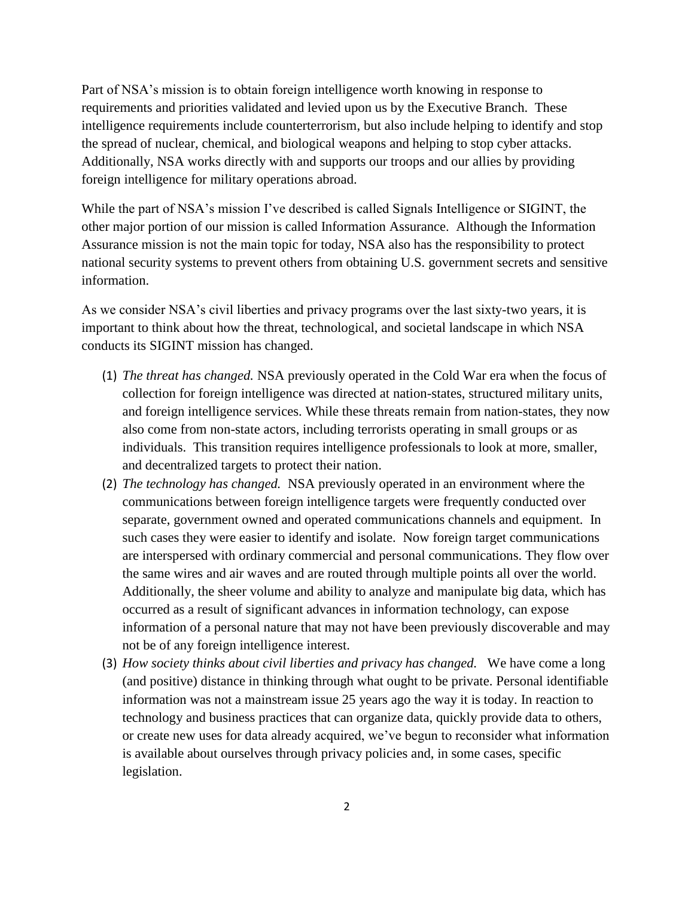Part of NSA's mission is to obtain foreign intelligence worth knowing in response to requirements and priorities validated and levied upon us by the Executive Branch. These intelligence requirements include counterterrorism, but also include helping to identify and stop the spread of nuclear, chemical, and biological weapons and helping to stop cyber attacks. Additionally, NSA works directly with and supports our troops and our allies by providing foreign intelligence for military operations abroad.

While the part of NSA's mission I've described is called Signals Intelligence or SIGINT, the other major portion of our mission is called Information Assurance. Although the Information Assurance mission is not the main topic for today, NSA also has the responsibility to protect national security systems to prevent others from obtaining U.S. government secrets and sensitive information.

As we consider NSA's civil liberties and privacy programs over the last sixty-two years, it is important to think about how the threat, technological, and societal landscape in which NSA conducts its SIGINT mission has changed.

- (1) *The threat has changed.* NSA previously operated in the Cold War era when the focus of collection for foreign intelligence was directed at nation-states, structured military units, and foreign intelligence services. While these threats remain from nation-states, they now also come from non-state actors, including terrorists operating in small groups or as individuals. This transition requires intelligence professionals to look at more, smaller, and decentralized targets to protect their nation.
- (2) *The technology has changed.* NSA previously operated in an environment where the communications between foreign intelligence targets were frequently conducted over separate, government owned and operated communications channels and equipment. In such cases they were easier to identify and isolate. Now foreign target communications are interspersed with ordinary commercial and personal communications. They flow over the same wires and air waves and are routed through multiple points all over the world. Additionally, the sheer volume and ability to analyze and manipulate big data, which has occurred as a result of significant advances in information technology, can expose information of a personal nature that may not have been previously discoverable and may not be of any foreign intelligence interest.
- (3) *How society thinks about civil liberties and privacy has changed.* We have come a long (and positive) distance in thinking through what ought to be private. Personal identifiable information was not a mainstream issue 25 years ago the way it is today. In reaction to technology and business practices that can organize data, quickly provide data to others, or create new uses for data already acquired, we've begun to reconsider what information is available about ourselves through privacy policies and, in some cases, specific legislation.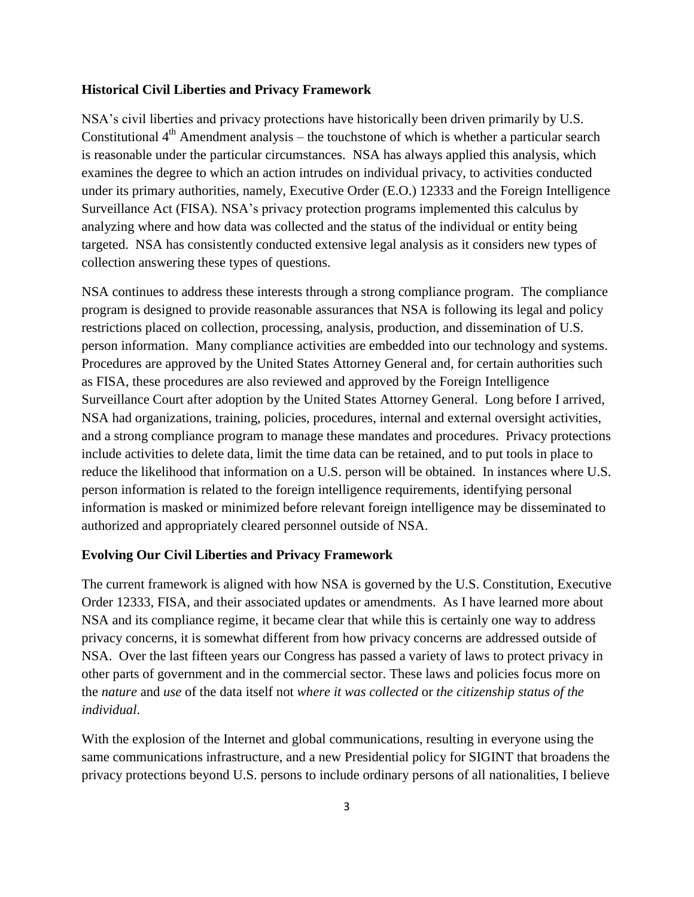#### **Historical Civil Liberties and Privacy Framework**

NSA's civil liberties and privacy protections have historically been driven primarily by U.S. Constitutional  $4<sup>th</sup>$  Amendment analysis – the touchstone of which is whether a particular search is reasonable under the particular circumstances. NSA has always applied this analysis, which examines the degree to which an action intrudes on individual privacy, to activities conducted under its primary authorities, namely, Executive Order (E.O.) 12333 and the Foreign Intelligence Surveillance Act (FISA). NSA's privacy protection programs implemented this calculus by analyzing where and how data was collected and the status of the individual or entity being targeted. NSA has consistently conducted extensive legal analysis as it considers new types of collection answering these types of questions.

NSA continues to address these interests through a strong compliance program. The compliance program is designed to provide reasonable assurances that NSA is following its legal and policy restrictions placed on collection, processing, analysis, production, and dissemination of U.S. person information. Many compliance activities are embedded into our technology and systems. Procedures are approved by the United States Attorney General and, for certain authorities such as FISA, these procedures are also reviewed and approved by the Foreign Intelligence Surveillance Court after adoption by the United States Attorney General. Long before I arrived, NSA had organizations, training, policies, procedures, internal and external oversight activities, and a strong compliance program to manage these mandates and procedures. Privacy protections include activities to delete data, limit the time data can be retained, and to put tools in place to reduce the likelihood that information on a U.S. person will be obtained. In instances where U.S. person information is related to the foreign intelligence requirements, identifying personal information is masked or minimized before relevant foreign intelligence may be disseminated to authorized and appropriately cleared personnel outside of NSA.

#### **Evolving Our Civil Liberties and Privacy Framework**

The current framework is aligned with how NSA is governed by the U.S. Constitution, Executive Order 12333, FISA, and their associated updates or amendments. As I have learned more about NSA and its compliance regime, it became clear that while this is certainly one way to address privacy concerns, it is somewhat different from how privacy concerns are addressed outside of NSA. Over the last fifteen years our Congress has passed a variety of laws to protect privacy in other parts of government and in the commercial sector. These laws and policies focus more on the *nature* and *use* of the data itself not *where it was collected* or *the citizenship status of the individual*.

With the explosion of the Internet and global communications, resulting in everyone using the same communications infrastructure, and a new Presidential policy for SIGINT that broadens the privacy protections beyond U.S. persons to include ordinary persons of all nationalities, I believe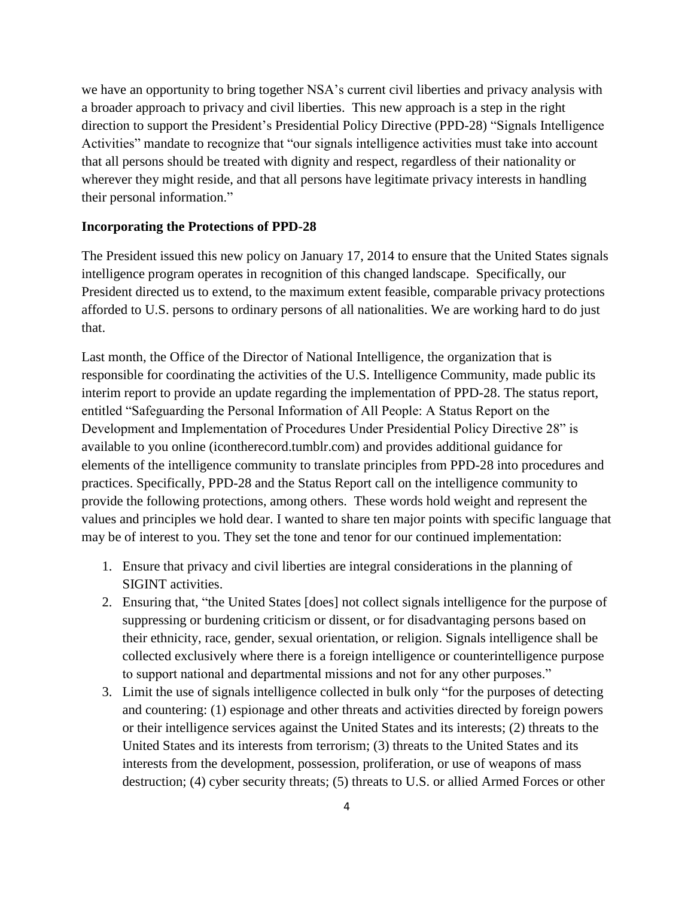we have an opportunity to bring together NSA's current civil liberties and privacy analysis with a broader approach to privacy and civil liberties. This new approach is a step in the right direction to support the President's Presidential Policy Directive (PPD-28) "Signals Intelligence Activities" mandate to recognize that "our signals intelligence activities must take into account that all persons should be treated with dignity and respect, regardless of their nationality or wherever they might reside, and that all persons have legitimate privacy interests in handling their personal information."

## **Incorporating the Protections of PPD-28**

The President issued this new policy on January 17, 2014 to ensure that the United States signals intelligence program operates in recognition of this changed landscape. Specifically, our President directed us to extend, to the maximum extent feasible, comparable privacy protections afforded to U.S. persons to ordinary persons of all nationalities. We are working hard to do just that.

Last month, the Office of the Director of National Intelligence, the organization that is responsible for coordinating the activities of the U.S. Intelligence Community, made public its interim report to provide an update regarding the implementation of PPD-28. The status report, entitled "Safeguarding the Personal Information of All People: A Status Report on the Development and Implementation of Procedures Under Presidential Policy Directive 28" is available to you online (icontherecord.tumblr.com) and provides additional guidance for elements of the intelligence community to translate principles from PPD-28 into procedures and practices. Specifically, PPD-28 and the Status Report call on the intelligence community to provide the following protections, among others. These words hold weight and represent the values and principles we hold dear. I wanted to share ten major points with specific language that may be of interest to you. They set the tone and tenor for our continued implementation:

- 1. Ensure that privacy and civil liberties are integral considerations in the planning of SIGINT activities.
- 2. Ensuring that, "the United States [does] not collect signals intelligence for the purpose of suppressing or burdening criticism or dissent, or for disadvantaging persons based on their ethnicity, race, gender, sexual orientation, or religion. Signals intelligence shall be collected exclusively where there is a foreign intelligence or counterintelligence purpose to support national and departmental missions and not for any other purposes."
- 3. Limit the use of signals intelligence collected in bulk only "for the purposes of detecting and countering: (1) espionage and other threats and activities directed by foreign powers or their intelligence services against the United States and its interests; (2) threats to the United States and its interests from terrorism; (3) threats to the United States and its interests from the development, possession, proliferation, or use of weapons of mass destruction; (4) cyber security threats; (5) threats to U.S. or allied Armed Forces or other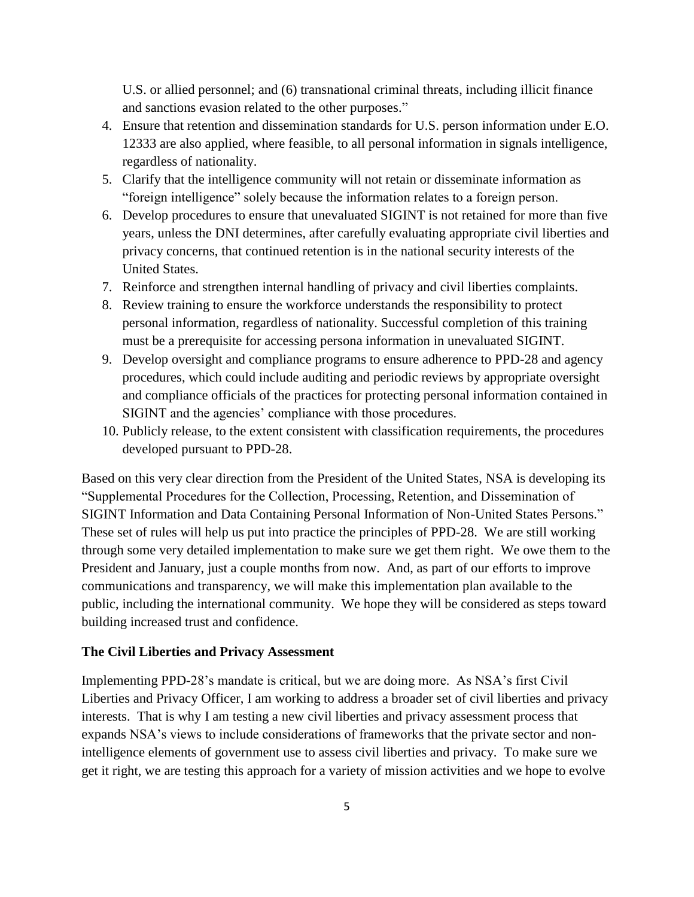U.S. or allied personnel; and (6) transnational criminal threats, including illicit finance and sanctions evasion related to the other purposes.´

- 4. Ensure that retention and dissemination standards for U.S. person information under E.O. 12333 are also applied, where feasible, to all personal information in signals intelligence, regardless of nationality.
- 5. Clarify that the intelligence community will not retain or disseminate information as "foreign intelligence" solely because the information relates to a foreign person.
- 6. Develop procedures to ensure that unevaluated SIGINT is not retained for more than five years, unless the DNI determines, after carefully evaluating appropriate civil liberties and privacy concerns, that continued retention is in the national security interests of the United States.
- 7. Reinforce and strengthen internal handling of privacy and civil liberties complaints.
- 8. Review training to ensure the workforce understands the responsibility to protect personal information, regardless of nationality. Successful completion of this training must be a prerequisite for accessing persona information in unevaluated SIGINT.
- 9. Develop oversight and compliance programs to ensure adherence to PPD-28 and agency procedures, which could include auditing and periodic reviews by appropriate oversight and compliance officials of the practices for protecting personal information contained in SIGINT and the agencies' compliance with those procedures.
- 10. Publicly release, to the extent consistent with classification requirements, the procedures developed pursuant to PPD-28.

Based on this very clear direction from the President of the United States, NSA is developing its "Supplemental Procedures for the Collection, Processing, Retention, and Dissemination of SIGINT Information and Data Containing Personal Information of Non-United States Persons.´ These set of rules will help us put into practice the principles of PPD-28. We are still working through some very detailed implementation to make sure we get them right. We owe them to the President and January, just a couple months from now. And, as part of our efforts to improve communications and transparency, we will make this implementation plan available to the public, including the international community. We hope they will be considered as steps toward building increased trust and confidence.

#### **The Civil Liberties and Privacy Assessment**

Implementing PPD-28's mandate is critical, but we are doing more. As NSA's first Civil Liberties and Privacy Officer, I am working to address a broader set of civil liberties and privacy interests. That is why I am testing a new civil liberties and privacy assessment process that expands NSA's views to include considerations of frameworks that the private sector and nonintelligence elements of government use to assess civil liberties and privacy. To make sure we get it right, we are testing this approach for a variety of mission activities and we hope to evolve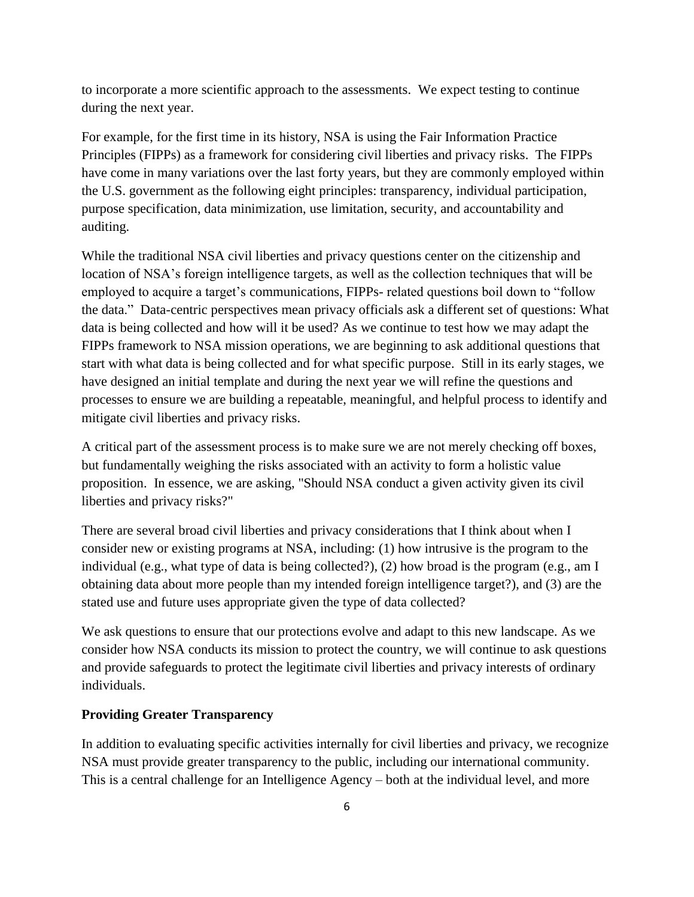to incorporate a more scientific approach to the assessments. We expect testing to continue during the next year.

For example, for the first time in its history, NSA is using the Fair Information Practice Principles (FIPPs) as a framework for considering civil liberties and privacy risks. The FIPPs have come in many variations over the last forty years, but they are commonly employed within the U.S. government as the following eight principles: transparency, individual participation, purpose specification, data minimization, use limitation, security, and accountability and auditing.

While the traditional NSA civil liberties and privacy questions center on the citizenship and location of NSA's foreign intelligence targets, as well as the collection techniques that will be employed to acquire a target's communications, FIPPs- related questions boil down to "follow the data." Data-centric perspectives mean privacy officials ask a different set of questions: What data is being collected and how will it be used? As we continue to test how we may adapt the FIPPs framework to NSA mission operations, we are beginning to ask additional questions that start with what data is being collected and for what specific purpose. Still in its early stages, we have designed an initial template and during the next year we will refine the questions and processes to ensure we are building a repeatable, meaningful, and helpful process to identify and mitigate civil liberties and privacy risks.

A critical part of the assessment process is to make sure we are not merely checking off boxes, but fundamentally weighing the risks associated with an activity to form a holistic value proposition. In essence, we are asking, "Should NSA conduct a given activity given its civil liberties and privacy risks?"

There are several broad civil liberties and privacy considerations that I think about when I consider new or existing programs at NSA, including: (1) how intrusive is the program to the individual (e.g., what type of data is being collected?), (2) how broad is the program (e.g., am I obtaining data about more people than my intended foreign intelligence target?), and (3) are the stated use and future uses appropriate given the type of data collected?

We ask questions to ensure that our protections evolve and adapt to this new landscape. As we consider how NSA conducts its mission to protect the country, we will continue to ask questions and provide safeguards to protect the legitimate civil liberties and privacy interests of ordinary individuals.

#### **Providing Greater Transparency**

In addition to evaluating specific activities internally for civil liberties and privacy, we recognize NSA must provide greater transparency to the public, including our international community. This is a central challenge for an Intelligence Agency – both at the individual level, and more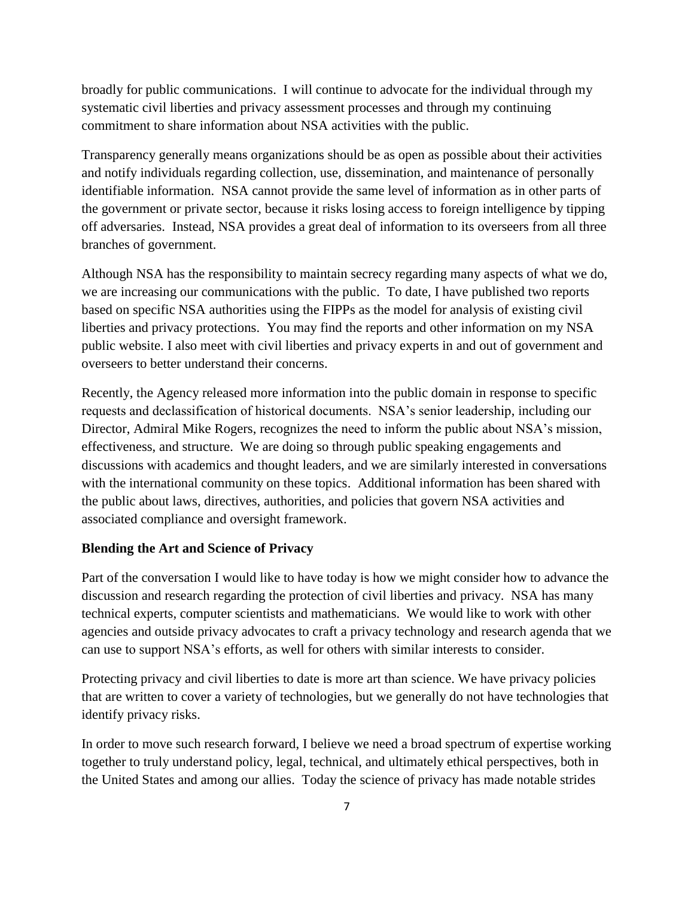broadly for public communications. I will continue to advocate for the individual through my systematic civil liberties and privacy assessment processes and through my continuing commitment to share information about NSA activities with the public.

Transparency generally means organizations should be as open as possible about their activities and notify individuals regarding collection, use, dissemination, and maintenance of personally identifiable information. NSA cannot provide the same level of information as in other parts of the government or private sector, because it risks losing access to foreign intelligence by tipping off adversaries. Instead, NSA provides a great deal of information to its overseers from all three branches of government.

Although NSA has the responsibility to maintain secrecy regarding many aspects of what we do, we are increasing our communications with the public. To date, I have published two reports based on specific NSA authorities using the FIPPs as the model for analysis of existing civil liberties and privacy protections. You may find the reports and other information on my NSA public website. I also meet with civil liberties and privacy experts in and out of government and overseers to better understand their concerns.

Recently, the Agency released more information into the public domain in response to specific requests and declassification of historical documents. NSA's senior leadership, including our Director, Admiral Mike Rogers, recognizes the need to inform the public about NSA's mission, effectiveness, and structure. We are doing so through public speaking engagements and discussions with academics and thought leaders, and we are similarly interested in conversations with the international community on these topics. Additional information has been shared with the public about laws, directives, authorities, and policies that govern NSA activities and associated compliance and oversight framework.

## **Blending the Art and Science of Privacy**

Part of the conversation I would like to have today is how we might consider how to advance the discussion and research regarding the protection of civil liberties and privacy. NSA has many technical experts, computer scientists and mathematicians. We would like to work with other agencies and outside privacy advocates to craft a privacy technology and research agenda that we can use to support NSA's efforts, as well for others with similar interests to consider.

Protecting privacy and civil liberties to date is more art than science. We have privacy policies that are written to cover a variety of technologies, but we generally do not have technologies that identify privacy risks.

In order to move such research forward, I believe we need a broad spectrum of expertise working together to truly understand policy, legal, technical, and ultimately ethical perspectives, both in the United States and among our allies. Today the science of privacy has made notable strides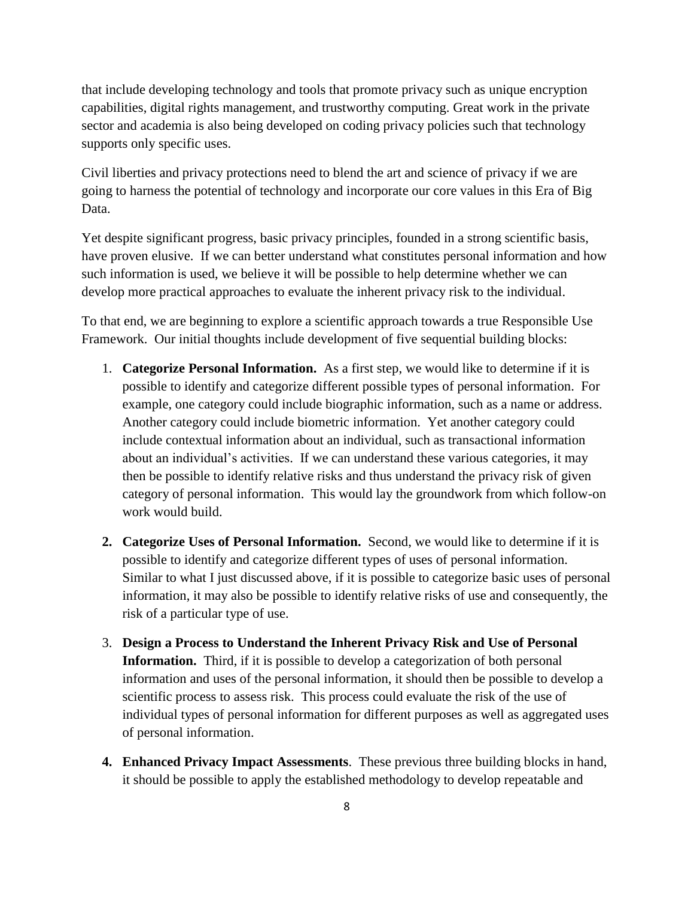that include developing technology and tools that promote privacy such as unique encryption capabilities, digital rights management, and trustworthy computing. Great work in the private sector and academia is also being developed on coding privacy policies such that technology supports only specific uses.

Civil liberties and privacy protections need to blend the art and science of privacy if we are going to harness the potential of technology and incorporate our core values in this Era of Big Data.

Yet despite significant progress, basic privacy principles, founded in a strong scientific basis, have proven elusive. If we can better understand what constitutes personal information and how such information is used, we believe it will be possible to help determine whether we can develop more practical approaches to evaluate the inherent privacy risk to the individual.

To that end, we are beginning to explore a scientific approach towards a true Responsible Use Framework. Our initial thoughts include development of five sequential building blocks:

- 1. **Categorize Personal Information.** As a first step, we would like to determine if it is possible to identify and categorize different possible types of personal information. For example, one category could include biographic information, such as a name or address. Another category could include biometric information. Yet another category could include contextual information about an individual, such as transactional information about an individual's activities. If we can understand these various categories, it may then be possible to identify relative risks and thus understand the privacy risk of given category of personal information. This would lay the groundwork from which follow-on work would build.
- **2. Categorize Uses of Personal Information.** Second, we would like to determine if it is possible to identify and categorize different types of uses of personal information. Similar to what I just discussed above, if it is possible to categorize basic uses of personal information, it may also be possible to identify relative risks of use and consequently, the risk of a particular type of use.
- 3. **Design a Process to Understand the Inherent Privacy Risk and Use of Personal Information.** Third, if it is possible to develop a categorization of both personal information and uses of the personal information, it should then be possible to develop a scientific process to assess risk. This process could evaluate the risk of the use of individual types of personal information for different purposes as well as aggregated uses of personal information.
- **4. Enhanced Privacy Impact Assessments**. These previous three building blocks in hand, it should be possible to apply the established methodology to develop repeatable and